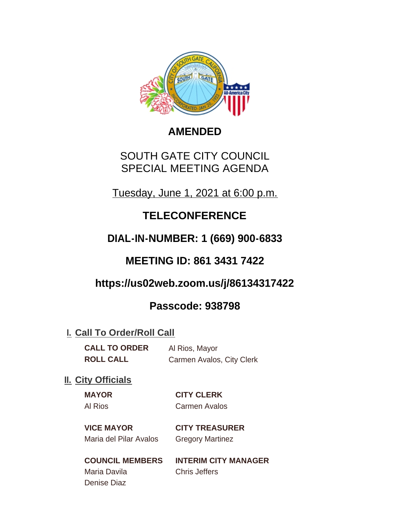

## **AMENDED**

SOUTH GATE CITY COUNCIL SPECIAL MEETING AGENDA

Tuesday, June 1, 2021 at 6:00 p.m.

# **TELECONFERENCE**

## **DIAL-IN-NUMBER: 1 (669) 900-6833**

## **MEETING ID: 861 3431 7422**

# **https://us02web.zoom.us/j/86134317422**

# **Passcode: 938798**

## **I. Call To Order/Roll Call**

**CALL TO ORDER** Al Rios, Mayor **ROLL CALL** Carmen Avalos, City Clerk

## **II.** City Officials

### **MAYOR CITY CLERK** Al Rios Carmen Avalos

**VICE MAYOR CITY TREASURER** Maria del Pilar Avalos Gregory Martinez

Maria Davila Chris Jeffers Denise Diaz

**COUNCIL MEMBERS INTERIM CITY MANAGER**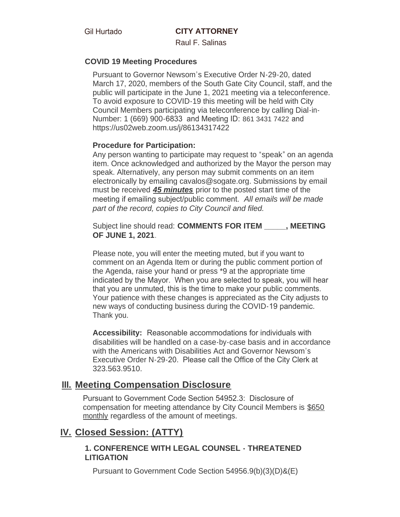Raul F. Salinas

#### **COVID 19 Meeting Procedures**

Pursuant to Governor Newsom's Executive Order N-29-20, dated March 17, 2020, members of the South Gate City Council, staff, and the public will participate in the June 1, 2021 meeting via a teleconference. To avoid exposure to COVID-19 this meeting will be held with City Council Members participating via teleconference by calling Dial-in-Number: 1 (669) 900-6833 and Meeting ID: 861 3431 7422 and https://us02web.zoom.us/j/86134317422

#### **Procedure for Participation:**

Any person wanting to participate may request to "speak" on an agenda item. Once acknowledged and authorized by the Mayor the person may speak. Alternatively, any person may submit comments on an item electronically by emailing cavalos@sogate.org. Submissions by email must be received *45 minutes* prior to the posted start time of the meeting if emailing subject/public comment. *All emails will be made part of the record, copies to City Council and filed.*

Subject line should read: **COMMENTS FOR ITEM \_\_\_\_\_, MEETING OF JUNE 1, 2021**.

Please note, you will enter the meeting muted, but if you want to comment on an Agenda Item or during the public comment portion of the Agenda, raise your hand or press \*9 at the appropriate time indicated by the Mayor. When you are selected to speak, you will hear that you are unmuted, this is the time to make your public comments. Your patience with these changes is appreciated as the City adjusts to new ways of conducting business during the COVID-19 pandemic. Thank you.

**Accessibility:** Reasonable accommodations for individuals with disabilities will be handled on a case-by-case basis and in accordance with the Americans with Disabilities Act and Governor Newsom's Executive Order N-29-20. Please call the Office of the City Clerk at 323.563.9510.

### **Meeting Compensation Disclosure III.**

Pursuant to Government Code Section 54952.3: Disclosure of compensation for meeting attendance by City Council Members is \$650 monthly regardless of the amount of meetings.

### **Closed Session: (ATTY) IV.**

#### **1. CONFERENCE WITH LEGAL COUNSEL - THREATENED LITIGATION**

Pursuant to Government Code Section 54956.9(b)(3)(D)&(E)